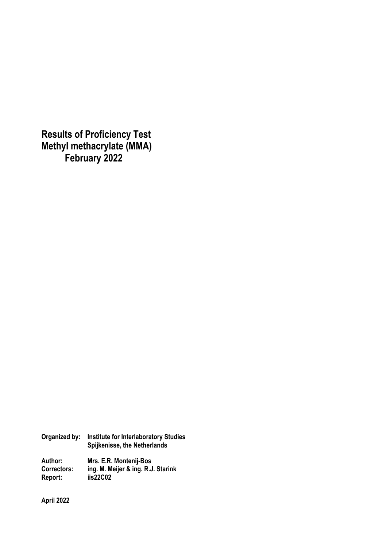**Results of Proficiency Test Methyl methacrylate (MMA) February 2022**

**Organized by: Institute for Interlaboratory Studies Spijkenisse, the Netherlands Author: Mrs. E.R. Montenij-Bos Correctors: ing. M. Meijer & ing. R.J. Starink Report: iis22C02** 

**April 2022**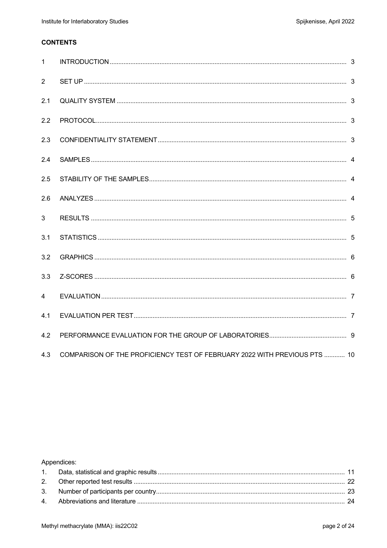# **CONTENTS**

| $\mathbf{1}$   |                                                                           |  |
|----------------|---------------------------------------------------------------------------|--|
| 2              |                                                                           |  |
| 2.1            |                                                                           |  |
| 2.2            |                                                                           |  |
| 2.3            |                                                                           |  |
| 2.4            |                                                                           |  |
| 2.5            |                                                                           |  |
| 2.6            |                                                                           |  |
| $\mathbf{3}$   |                                                                           |  |
| 3.1            |                                                                           |  |
| 3.2            |                                                                           |  |
| 3.3            |                                                                           |  |
| $\overline{4}$ |                                                                           |  |
| 4.1            |                                                                           |  |
| 4.2            |                                                                           |  |
| 4.3            | COMPARISON OF THE PROFICIENCY TEST OF FEBRUARY 2022 WITH PREVIOUS PTS  10 |  |

# Appendices: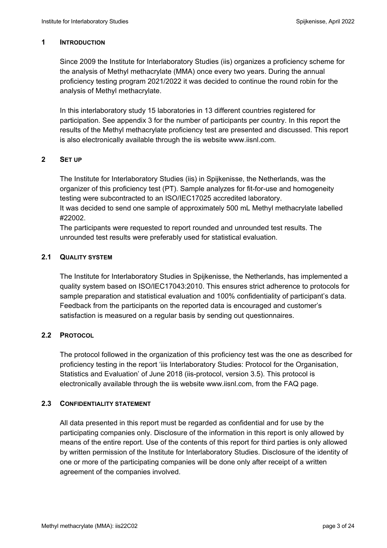### **1 INTRODUCTION**

Since 2009 the Institute for Interlaboratory Studies (iis) organizes a proficiency scheme for the analysis of Methyl methacrylate (MMA) once every two years. During the annual proficiency testing program 2021/2022 it was decided to continue the round robin for the analysis of Methyl methacrylate.

In this interlaboratory study 15 laboratories in 13 different countries registered for participation. See appendix 3 for the number of participants per country. In this report the results of the Methyl methacrylate proficiency test are presented and discussed. This report is also electronically available through the iis website www.iisnl.com.

### **2 SET UP**

The Institute for Interlaboratory Studies (iis) in Spijkenisse, the Netherlands, was the organizer of this proficiency test (PT). Sample analyzes for fit-for-use and homogeneity testing were subcontracted to an ISO/IEC17025 accredited laboratory. It was decided to send one sample of approximately 500 mL Methyl methacrylate labelled

#22002. The participants were requested to report rounded and unrounded test results. The unrounded test results were preferably used for statistical evaluation.

# **2.1 QUALITY SYSTEM**

The Institute for Interlaboratory Studies in Spijkenisse, the Netherlands, has implemented a quality system based on ISO/IEC17043:2010. This ensures strict adherence to protocols for sample preparation and statistical evaluation and 100% confidentiality of participant's data. Feedback from the participants on the reported data is encouraged and customer's satisfaction is measured on a regular basis by sending out questionnaires.

# **2.2 PROTOCOL**

The protocol followed in the organization of this proficiency test was the one as described for proficiency testing in the report 'iis Interlaboratory Studies: Protocol for the Organisation, Statistics and Evaluation' of June 2018 (iis-protocol, version 3.5). This protocol is electronically available through the iis website www.iisnl.com, from the FAQ page.

#### **2.3 CONFIDENTIALITY STATEMENT**

All data presented in this report must be regarded as confidential and for use by the participating companies only. Disclosure of the information in this report is only allowed by means of the entire report. Use of the contents of this report for third parties is only allowed by written permission of the Institute for Interlaboratory Studies. Disclosure of the identity of one or more of the participating companies will be done only after receipt of a written agreement of the companies involved.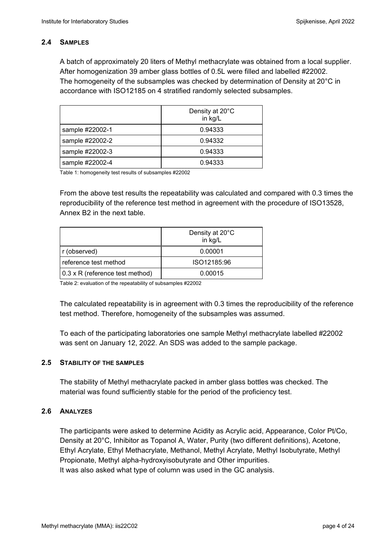# **2.4 SAMPLES**

A batch of approximately 20 liters of Methyl methacrylate was obtained from a local supplier. After homogenization 39 amber glass bottles of 0.5L were filled and labelled #22002. The homogeneity of the subsamples was checked by determination of Density at 20°C in accordance with ISO12185 on 4 stratified randomly selected subsamples.

|                 | Density at 20°C<br>in kg/L |
|-----------------|----------------------------|
| sample #22002-1 | 0.94333                    |
| sample #22002-2 | 0.94332                    |
| sample #22002-3 | 0.94333                    |
| sample #22002-4 | 0.94333                    |

Table 1: homogeneity test results of subsamples #22002

From the above test results the repeatability was calculated and compared with 0.3 times the reproducibility of the reference test method in agreement with the procedure of ISO13528, Annex B2 in the next table.

|                                        | Density at 20°C<br>in kg/L |
|----------------------------------------|----------------------------|
| r (observed)                           | 0.00001                    |
| reference test method                  | ISO12185:96                |
| $0.3 \times R$ (reference test method) | 0.00015                    |

Table 2: evaluation of the repeatability of subsamples #22002

The calculated repeatability is in agreement with 0.3 times the reproducibility of the reference test method. Therefore, homogeneity of the subsamples was assumed.

To each of the participating laboratories one sample Methyl methacrylate labelled #22002 was sent on January 12, 2022. An SDS was added to the sample package.

# **2.5 STABILITY OF THE SAMPLES**

The stability of Methyl methacrylate packed in amber glass bottles was checked. The material was found sufficiently stable for the period of the proficiency test.

# **2.6 ANALYZES**

The participants were asked to determine Acidity as Acrylic acid, Appearance, Color Pt/Co, Density at 20°C, Inhibitor as Topanol A, Water, Purity (two different definitions), Acetone, Ethyl Acrylate, Ethyl Methacrylate, Methanol, Methyl Acrylate, Methyl Isobutyrate, Methyl Propionate, Methyl alpha-hydroxyisobutyrate and Other impurities. It was also asked what type of column was used in the GC analysis.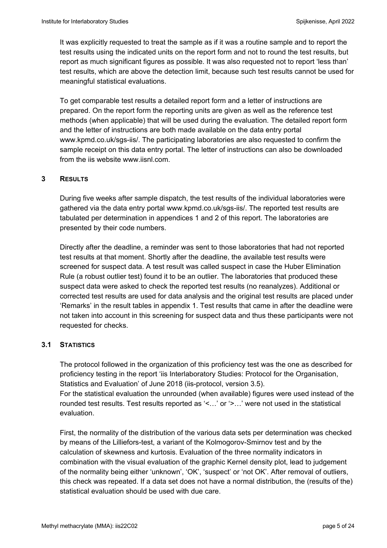It was explicitly requested to treat the sample as if it was a routine sample and to report the test results using the indicated units on the report form and not to round the test results, but report as much significant figures as possible. It was also requested not to report 'less than' test results, which are above the detection limit, because such test results cannot be used for meaningful statistical evaluations.

To get comparable test results a detailed report form and a letter of instructions are prepared. On the report form the reporting units are given as well as the reference test methods (when applicable) that will be used during the evaluation. The detailed report form and the letter of instructions are both made available on the data entry portal www.kpmd.co.uk/sgs-iis/. The participating laboratories are also requested to confirm the sample receipt on this data entry portal. The letter of instructions can also be downloaded from the iis website www.iisnl.com.

# **3 RESULTS**

During five weeks after sample dispatch, the test results of the individual laboratories were gathered via the data entry portal www.kpmd.co.uk/sgs-iis/. The reported test results are tabulated per determination in appendices 1 and 2 of this report. The laboratories are presented by their code numbers.

Directly after the deadline, a reminder was sent to those laboratories that had not reported test results at that moment. Shortly after the deadline, the available test results were screened for suspect data. A test result was called suspect in case the Huber Elimination Rule (a robust outlier test) found it to be an outlier. The laboratories that produced these suspect data were asked to check the reported test results (no reanalyzes). Additional or corrected test results are used for data analysis and the original test results are placed under 'Remarks' in the result tables in appendix 1. Test results that came in after the deadline were not taken into account in this screening for suspect data and thus these participants were not requested for checks.

# **3.1 STATISTICS**

The protocol followed in the organization of this proficiency test was the one as described for proficiency testing in the report 'iis Interlaboratory Studies: Protocol for the Organisation, Statistics and Evaluation' of June 2018 (iis-protocol, version 3.5).

For the statistical evaluation the unrounded (when available) figures were used instead of the rounded test results. Test results reported as '<…' or '>…' were not used in the statistical evaluation.

First, the normality of the distribution of the various data sets per determination was checked by means of the Lilliefors-test, a variant of the Kolmogorov-Smirnov test and by the calculation of skewness and kurtosis. Evaluation of the three normality indicators in combination with the visual evaluation of the graphic Kernel density plot, lead to judgement of the normality being either 'unknown', 'OK', 'suspect' or 'not OK'. After removal of outliers, this check was repeated. If a data set does not have a normal distribution, the (results of the) statistical evaluation should be used with due care.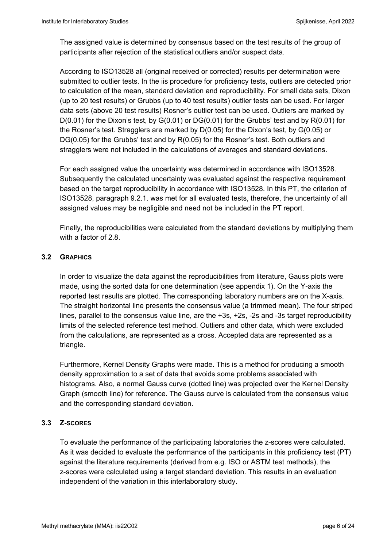The assigned value is determined by consensus based on the test results of the group of participants after rejection of the statistical outliers and/or suspect data.

According to ISO13528 all (original received or corrected) results per determination were submitted to outlier tests. In the iis procedure for proficiency tests, outliers are detected prior to calculation of the mean, standard deviation and reproducibility. For small data sets, Dixon (up to 20 test results) or Grubbs (up to 40 test results) outlier tests can be used. For larger data sets (above 20 test results) Rosner's outlier test can be used. Outliers are marked by  $D(0.01)$  for the Dixon's test, by  $G(0.01)$  or  $DG(0.01)$  for the Grubbs' test and by  $R(0.01)$  for the Rosner's test. Stragglers are marked by D(0.05) for the Dixon's test, by G(0.05) or DG(0.05) for the Grubbs' test and by R(0.05) for the Rosner's test. Both outliers and stragglers were not included in the calculations of averages and standard deviations.

For each assigned value the uncertainty was determined in accordance with ISO13528. Subsequently the calculated uncertainty was evaluated against the respective requirement based on the target reproducibility in accordance with ISO13528. In this PT, the criterion of ISO13528, paragraph 9.2.1. was met for all evaluated tests, therefore, the uncertainty of all assigned values may be negligible and need not be included in the PT report.

Finally, the reproducibilities were calculated from the standard deviations by multiplying them with a factor of 2.8.

# **3.2 GRAPHICS**

In order to visualize the data against the reproducibilities from literature, Gauss plots were made, using the sorted data for one determination (see appendix 1). On the Y-axis the reported test results are plotted. The corresponding laboratory numbers are on the X-axis. The straight horizontal line presents the consensus value (a trimmed mean). The four striped lines, parallel to the consensus value line, are the +3s, +2s, -2s and -3s target reproducibility limits of the selected reference test method. Outliers and other data, which were excluded from the calculations, are represented as a cross. Accepted data are represented as a triangle.

Furthermore, Kernel Density Graphs were made. This is a method for producing a smooth density approximation to a set of data that avoids some problems associated with histograms. Also, a normal Gauss curve (dotted line) was projected over the Kernel Density Graph (smooth line) for reference. The Gauss curve is calculated from the consensus value and the corresponding standard deviation.

# **3.3 Z-SCORES**

To evaluate the performance of the participating laboratories the z-scores were calculated. As it was decided to evaluate the performance of the participants in this proficiency test (PT) against the literature requirements (derived from e.g. ISO or ASTM test methods), the z-scores were calculated using a target standard deviation. This results in an evaluation independent of the variation in this interlaboratory study.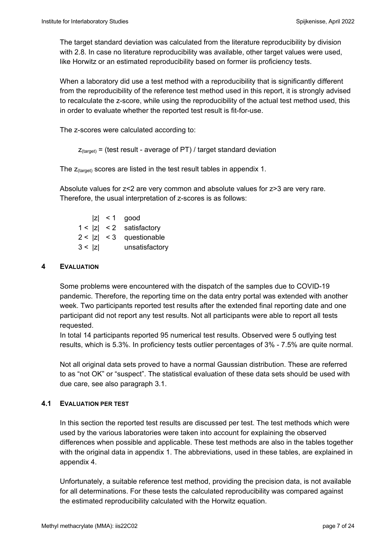The target standard deviation was calculated from the literature reproducibility by division with 2.8. In case no literature reproducibility was available, other target values were used, like Horwitz or an estimated reproducibility based on former iis proficiency tests.

When a laboratory did use a test method with a reproducibility that is significantly different from the reproducibility of the reference test method used in this report, it is strongly advised to recalculate the z-score, while using the reproducibility of the actual test method used, this in order to evaluate whether the reported test result is fit-for-use.

The z-scores were calculated according to:

```
Z_{\text{target}} = (test result - average of PT) / target standard deviation
```
The  $z_{\text{(target)}}$  scores are listed in the test result tables in appendix 1.

Absolute values for z<2 are very common and absolute values for z>3 are very rare. Therefore, the usual interpretation of z-scores is as follows:

|        | $ z  < 1$ good             |
|--------|----------------------------|
|        | $1 <  z  < 2$ satisfactory |
|        | $2 <  z  < 3$ questionable |
| 3 <  z | unsatisfactory             |

### **4 EVALUATION**

Some problems were encountered with the dispatch of the samples due to COVID-19 pandemic. Therefore, the reporting time on the data entry portal was extended with another week. Two participants reported test results after the extended final reporting date and one participant did not report any test results. Not all participants were able to report all tests requested.

In total 14 participants reported 95 numerical test results. Observed were 5 outlying test results, which is 5.3%. In proficiency tests outlier percentages of 3% - 7.5% are quite normal.

Not all original data sets proved to have a normal Gaussian distribution. These are referred to as "not OK" or "suspect". The statistical evaluation of these data sets should be used with due care, see also paragraph 3.1.

# **4.1 EVALUATION PER TEST**

In this section the reported test results are discussed per test. The test methods which were used by the various laboratories were taken into account for explaining the observed differences when possible and applicable. These test methods are also in the tables together with the original data in appendix 1. The abbreviations, used in these tables, are explained in appendix 4.

Unfortunately, a suitable reference test method, providing the precision data, is not available for all determinations. For these tests the calculated reproducibility was compared against the estimated reproducibility calculated with the Horwitz equation.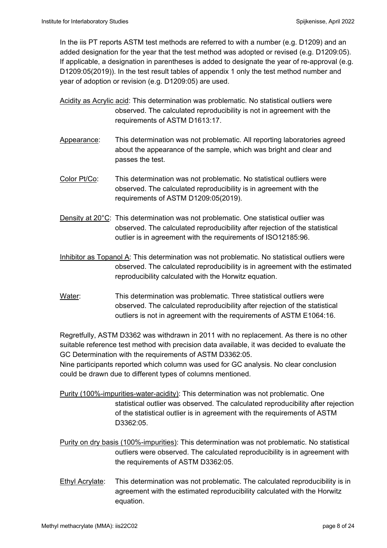In the iis PT reports ASTM test methods are referred to with a number (e.g. D1209) and an added designation for the year that the test method was adopted or revised (e.g. D1209:05). If applicable, a designation in parentheses is added to designate the year of re-approval (e.g. D1209:05(2019)). In the test result tables of appendix 1 only the test method number and year of adoption or revision (e.g. D1209:05) are used.

- Acidity as Acrylic acid: This determination was problematic. No statistical outliers were observed. The calculated reproducibility is not in agreement with the requirements of ASTM D1613:17.
- Appearance: This determination was not problematic. All reporting laboratories agreed about the appearance of the sample, which was bright and clear and passes the test.
- Color Pt/Co: This determination was not problematic. No statistical outliers were observed. The calculated reproducibility is in agreement with the requirements of ASTM D1209:05(2019).
- Density at 20°C: This determination was not problematic. One statistical outlier was observed. The calculated reproducibility after rejection of the statistical outlier is in agreement with the requirements of ISO12185:96.
- Inhibitor as Topanol A: This determination was not problematic. No statistical outliers were observed. The calculated reproducibility is in agreement with the estimated reproducibility calculated with the Horwitz equation.
- Water: This determination was problematic. Three statistical outliers were observed. The calculated reproducibility after rejection of the statistical outliers is not in agreement with the requirements of ASTM E1064:16.

Regretfully, ASTM D3362 was withdrawn in 2011 with no replacement. As there is no other suitable reference test method with precision data available, it was decided to evaluate the GC Determination with the requirements of ASTM D3362:05.

Nine participants reported which column was used for GC analysis. No clear conclusion could be drawn due to different types of columns mentioned.

- Purity (100%-impurities-water-acidity): This determination was not problematic. One statistical outlier was observed. The calculated reproducibility after rejection of the statistical outlier is in agreement with the requirements of ASTM D3362:05.
- Purity on dry basis (100%-impurities): This determination was not problematic. No statistical outliers were observed. The calculated reproducibility is in agreement with the requirements of ASTM D3362:05.
- Ethyl Acrylate: This determination was not problematic. The calculated reproducibility is in agreement with the estimated reproducibility calculated with the Horwitz equation.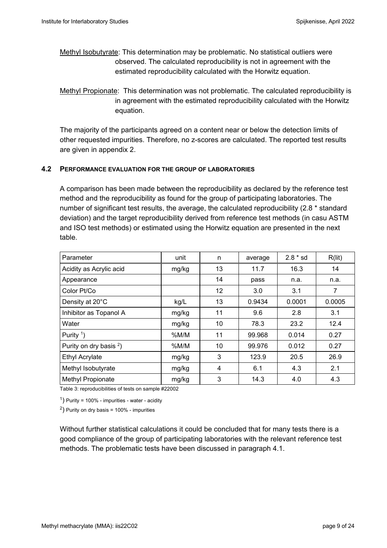Methyl Isobutyrate: This determination may be problematic. No statistical outliers were observed. The calculated reproducibility is not in agreement with the estimated reproducibility calculated with the Horwitz equation.

Methyl Propionate: This determination was not problematic. The calculated reproducibility is in agreement with the estimated reproducibility calculated with the Horwitz equation.

The majority of the participants agreed on a content near or below the detection limits of other requested impurities. Therefore, no z-scores are calculated. The reported test results are given in appendix 2.

# **4.2 PERFORMANCE EVALUATION FOR THE GROUP OF LABORATORIES**

A comparison has been made between the reproducibility as declared by the reference test method and the reproducibility as found for the group of participating laboratories. The number of significant test results, the average, the calculated reproducibility (2.8 \* standard deviation) and the target reproducibility derived from reference test methods (in casu ASTM and ISO test methods) or estimated using the Horwitz equation are presented in the next table.

| Parameter                 | unit  | n              | average | $2.8 * sd$ | R(lit) |
|---------------------------|-------|----------------|---------|------------|--------|
| Acidity as Acrylic acid   | mg/kg | 13             | 11.7    | 16.3       | 14     |
| Appearance                |       | 14             | pass    | n.a.       | n.a.   |
| Color Pt/Co               |       | 12             | 3.0     | 3.1        | 7      |
| Density at 20°C           | kg/L  | 13             | 0.9434  | 0.0001     | 0.0005 |
| Inhibitor as Topanol A    | mg/kg | 11             | 9.6     | 2.8        | 3.1    |
| Water                     | mg/kg | 10             | 78.3    | 23.2       | 12.4   |
| Purity $\frac{1}{2}$      | %M/M  | 11             | 99.968  | 0.014      | 0.27   |
| Purity on dry basis $2$ ) | %M/M  | 10             | 99.976  | 0.012      | 0.27   |
| <b>Ethyl Acrylate</b>     | mg/kg | 3              | 123.9   | 20.5       | 26.9   |
| Methyl Isobutyrate        | mg/kg | $\overline{4}$ | 6.1     | 4.3        | 2.1    |
| Methyl Propionate         | mg/kg | 3              | 14.3    | 4.0        | 4.3    |

Table 3: reproducibilities of tests on sample #22002

 $<sup>1</sup>$ ) Purity = 100% - impurities - water - acidity</sup>

<sup>2</sup>) Purity on dry basis =  $100\%$  - impurities

Without further statistical calculations it could be concluded that for many tests there is a good compliance of the group of participating laboratories with the relevant reference test methods. The problematic tests have been discussed in paragraph 4.1.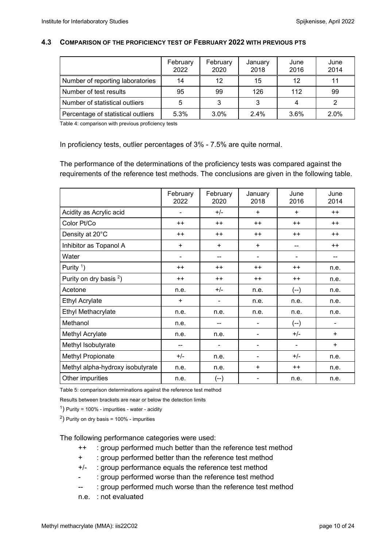#### **4.3 COMPARISON OF THE PROFICIENCY TEST OF FEBRUARY 2022 WITH PREVIOUS PTS**

|                                    | February<br>2022 | February<br>2020 | January<br>2018 | June<br>2016 | June<br>2014 |
|------------------------------------|------------------|------------------|-----------------|--------------|--------------|
| Number of reporting laboratories   | 14               | 12               | 15              | 12           | 11           |
| Number of test results             | 95               | 99               | 126             | 112          | 99           |
| Number of statistical outliers     | 5                | 3                | 3               |              |              |
| Percentage of statistical outliers | 5.3%             | 3.0%             | $2.4\%$         | 3.6%         | 2.0%         |

Table 4: comparison with previous proficiency tests

In proficiency tests, outlier percentages of 3% - 7.5% are quite normal.

The performance of the determinations of the proficiency tests was compared against the requirements of the reference test methods. The conclusions are given in the following table.

|                                    | February<br>2022             | February<br>2020             | January<br>2018              | June<br>2016   | June<br>2014 |
|------------------------------------|------------------------------|------------------------------|------------------------------|----------------|--------------|
| Acidity as Acrylic acid            | -                            | $+/-$<br>$\ddot{}$           |                              | $+$            | $++$         |
| Color Pt/Co                        | $++$                         | $++$                         | $++$                         | $++$           | $++$         |
| Density at 20°C                    | $++$                         | $++$                         | $++$                         |                | $++$         |
| Inhibitor as Topanol A             | $\ddot{}$                    | $\ddot{}$<br>$\ddot{}$       |                              | --             | $++$         |
| Water                              | $\qquad \qquad \blacksquare$ | --                           | -                            |                |              |
| Purity $\binom{1}{1}$              | $++$                         | $++$                         | $++$                         | $^{++}$        | n.e.         |
| Purity on dry basis <sup>2</sup> ) | $++$                         | $++$                         | $++$                         | $++$           | n.e.         |
| Acetone                            | n.e.                         | $+/-$                        | n.e.                         | $(--)$         | n.e.         |
| <b>Ethyl Acrylate</b>              | $\ddot{}$                    | $\qquad \qquad \blacksquare$ | n.e.                         | n.e.           | n.e.         |
| Ethyl Methacrylate                 | n.e.                         | n.e.                         | n.e.                         | n.e.           | n.e.         |
| Methanol                           | n.e.                         | --                           | -                            | $(-)$          |              |
| Methyl Acrylate                    | n.e.                         | n.e.                         | $\blacksquare$               | $+/-$          | $+$          |
| Methyl Isobutyrate                 | --                           | $\qquad \qquad \blacksquare$ | -                            | $\blacksquare$ | $+$          |
| Methyl Propionate                  | $+/-$                        | n.e.                         | $\qquad \qquad \blacksquare$ | $+/-$          | n.e.         |
| Methyl alpha-hydroxy isobutyrate   | n.e.                         | n.e.                         | +                            | $^{++}$        | n.e.         |
| Other impurities                   | n.e.                         | (--)                         |                              | n.e.           | n.e.         |

Table 5: comparison determinations against the reference test method

Results between brackets are near or below the detection limits

 $<sup>1</sup>$ ) Purity = 100% - impurities - water - acidity</sup>

 $^{2}$ ) Purity on dry basis = 100% - impurities

The following performance categories were used:

- ++ : group performed much better than the reference test method
- + : group performed better than the reference test method
- +/- : group performance equals the reference test method
- : group performed worse than the reference test method
- -- : group performed much worse than the reference test method
- n.e. : not evaluated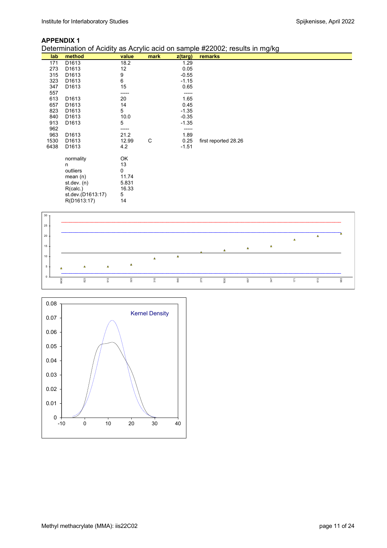### **APPENDIX 1**

Determination of Acidity as Acrylic acid on sample #22002; results in mg/kg

| method            | value                                                                                                                                                                                                            | mark                                                                                               | $z$ (targ) | remarks                                       |
|-------------------|------------------------------------------------------------------------------------------------------------------------------------------------------------------------------------------------------------------|----------------------------------------------------------------------------------------------------|------------|-----------------------------------------------|
| D1613             | 18.2                                                                                                                                                                                                             |                                                                                                    | 1.29       |                                               |
| D <sub>1613</sub> | 12                                                                                                                                                                                                               |                                                                                                    | 0.05       |                                               |
| D <sub>1613</sub> | 9                                                                                                                                                                                                                |                                                                                                    | $-0.55$    |                                               |
| D <sub>1613</sub> |                                                                                                                                                                                                                  |                                                                                                    | $-1.15$    |                                               |
| D <sub>1613</sub> | 15                                                                                                                                                                                                               |                                                                                                    | 0.65       |                                               |
|                   | -----                                                                                                                                                                                                            |                                                                                                    | -----      |                                               |
| D <sub>1613</sub> | 20                                                                                                                                                                                                               |                                                                                                    | 1.65       |                                               |
| D <sub>1613</sub> | 14                                                                                                                                                                                                               |                                                                                                    | 0.45       |                                               |
| D <sub>1613</sub> |                                                                                                                                                                                                                  |                                                                                                    | $-1.35$    |                                               |
|                   |                                                                                                                                                                                                                  |                                                                                                    |            |                                               |
|                   |                                                                                                                                                                                                                  |                                                                                                    |            |                                               |
|                   |                                                                                                                                                                                                                  |                                                                                                    | -----      |                                               |
|                   |                                                                                                                                                                                                                  |                                                                                                    |            |                                               |
|                   |                                                                                                                                                                                                                  |                                                                                                    |            | first reported 28.26                          |
|                   |                                                                                                                                                                                                                  |                                                                                                    |            |                                               |
|                   |                                                                                                                                                                                                                  |                                                                                                    |            |                                               |
|                   |                                                                                                                                                                                                                  |                                                                                                    |            |                                               |
|                   |                                                                                                                                                                                                                  |                                                                                                    |            |                                               |
|                   |                                                                                                                                                                                                                  |                                                                                                    |            |                                               |
|                   |                                                                                                                                                                                                                  |                                                                                                    |            |                                               |
|                   |                                                                                                                                                                                                                  |                                                                                                    |            |                                               |
|                   |                                                                                                                                                                                                                  |                                                                                                    |            |                                               |
|                   |                                                                                                                                                                                                                  |                                                                                                    |            |                                               |
|                   | D <sub>1613</sub><br>D <sub>1613</sub><br>D <sub>1613</sub><br>D <sub>1613</sub><br>D <sub>1613</sub><br>normality<br>n<br>outliers<br>mean $(n)$<br>st.dev. (n)<br>R(calc.)<br>st.dev.(D1613:17)<br>R(D1613:17) | 6<br>5<br>10.0<br>5<br>21.2<br>12.99<br>4.2<br>OK<br>13<br>0<br>11.74<br>5.831<br>16.33<br>5<br>14 | C          | $-0.35$<br>$-1.35$<br>1.89<br>0.25<br>$-1.51$ |



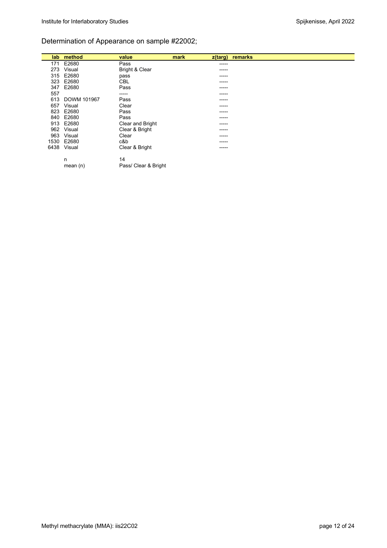# Determination of Appearance on sample #22002;

|      | lab method         | value                | mark<br>$z$ (targ) | remarks |
|------|--------------------|----------------------|--------------------|---------|
| 171  | E2680              | Pass                 | ------             |         |
| 273  | Visual             | Bright & Clear       | ------             |         |
| 315  | E2680              | pass                 | ------             |         |
| 323  | E2680              | <b>CBL</b>           | -----              |         |
| 347  | E2680              | Pass                 | ------             |         |
| 557  |                    | -----                | ------             |         |
| 613  | <b>DOWM 101967</b> | Pass                 | ------             |         |
| 657  | Visual             | Clear                | ------             |         |
| 823  | E2680              | Pass                 | ------             |         |
|      | 840 E2680          | Pass                 | ------             |         |
|      | 913 E2680          | Clear and Bright     | -----              |         |
|      | 962 Visual         | Clear & Bright       | ------             |         |
| 963  | Visual             | Clear                | -----              |         |
| 1530 | E2680              | c&b                  | ------             |         |
| 6438 | Visual             | Clear & Bright       | ------             |         |
|      | n                  | 14                   |                    |         |
|      | mean $(n)$         | Pass/ Clear & Bright |                    |         |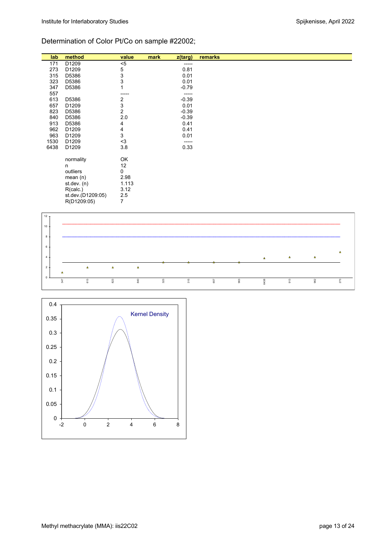# Determination of Color Pt/Co on sample #22002;

| lab  | method            | value          | mark<br>$z$ (targ) | remarks |
|------|-------------------|----------------|--------------------|---------|
| 171  | D1209             | $< 5$          | -----              |         |
| 273  | D1209             | 5              | 0.81               |         |
| 315  | D5386             | 3              | 0.01               |         |
| 323  | D5386             | 3              | 0.01               |         |
| 347  | D5386             |                | $-0.79$            |         |
| 557  |                   |                | -----              |         |
| 613  | D5386             | 2              | $-0.39$            |         |
| 657  | D1209             | 3              | 0.01               |         |
| 823  | D5386             | 2              | $-0.39$            |         |
| 840  | D5386             | 2.0            | $-0.39$            |         |
| 913  | D5386             | 4              | 0.41               |         |
| 962  | D1209             | 4              | 0.41               |         |
| 963  | D1209             | 3              | 0.01               |         |
| 1530 | D1209             | $3$            | -----              |         |
| 6438 | D1209             | 3.8            | 0.33               |         |
|      | normality<br>n    | OK<br>12       |                    |         |
|      | outliers          | 0              |                    |         |
|      | mean $(n)$        | 2.98           |                    |         |
|      | st. dev. (n)      | 1.113          |                    |         |
|      | R(calc.)          | 3.12           |                    |         |
|      | st.dev.(D1209:05) | 2.5            |                    |         |
|      | R(D1209:05)       | $\overline{7}$ |                    |         |



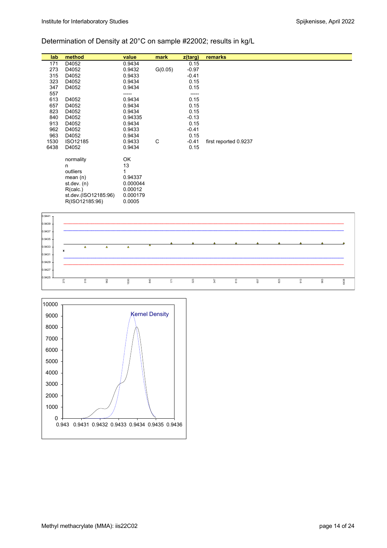# Determination of Density at 20°C on sample #22002; results in kg/L

| lab  | method               | value    | mark    | $z$ (targ) | remarks               |
|------|----------------------|----------|---------|------------|-----------------------|
| 171  | D4052                | 0.9434   |         | 0.15       |                       |
| 273  | D4052                | 0.9432   | G(0.05) | $-0.97$    |                       |
| 315  | D4052                | 0.9433   |         | $-0.41$    |                       |
| 323  | D4052                | 0.9434   |         | 0.15       |                       |
| 347  | D4052                | 0.9434   |         | 0.15       |                       |
| 557  |                      |          |         |            |                       |
| 613  | D4052                | 0.9434   |         | 0.15       |                       |
| 657  | D4052                | 0.9434   |         | 0.15       |                       |
| 823  | D4052                | 0.9434   |         | 0.15       |                       |
| 840  | D4052                | 0.94335  |         | $-0.13$    |                       |
| 913  | D4052                | 0.9434   |         | 0.15       |                       |
| 962  | D4052                | 0.9433   |         | $-0.41$    |                       |
| 963  | D4052                | 0.9434   |         | 0.15       |                       |
| 1530 | ISO12185             | 0.9433   | C       | $-0.41$    | first reported 0.9237 |
| 6438 | D4052                | 0.9434   |         | 0.15       |                       |
|      |                      |          |         |            |                       |
|      | normality            | ОK       |         |            |                       |
|      | n                    | 13       |         |            |                       |
|      | outliers             |          |         |            |                       |
|      | mean $(n)$           | 0.94337  |         |            |                       |
|      | st.dev. $(n)$        | 0.000044 |         |            |                       |
|      | R(calc.)             | 0.00012  |         |            |                       |
|      | st.dev.(ISO12185:96) | 0.000179 |         |            |                       |
|      | R(ISO12185:96)       | 0.0005   |         |            |                       |



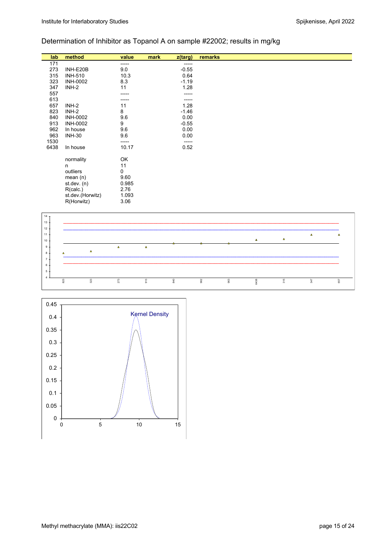# Determination of Inhibitor as Topanol A on sample #22002; results in mg/kg

| lab  | method           | value | mark | z(targ) | remarks |
|------|------------------|-------|------|---------|---------|
| 171  |                  | ----- |      | -----   |         |
| 273  | INH-E20B         | 9.0   |      | $-0.55$ |         |
| 315  | <b>INH-510</b>   | 10.3  |      | 0.64    |         |
| 323  | <b>INH-0002</b>  | 8.3   |      | $-1.19$ |         |
| 347  | INH-2            | 11    |      | 1.28    |         |
| 557  |                  |       |      | -----   |         |
| 613  |                  |       |      | -----   |         |
| 657  | INH-2            | 11    |      | 1.28    |         |
| 823  | INH-2            | 8     |      | $-1.46$ |         |
| 840  | <b>INH-0002</b>  | 9.6   |      | 0.00    |         |
| 913  | <b>INH-0002</b>  | 9     |      | $-0.55$ |         |
| 962  | In house         | 9.6   |      | 0.00    |         |
| 963  | <b>INH-30</b>    | 9.6   |      | 0.00    |         |
| 1530 |                  | ----- |      | -----   |         |
| 6438 | In house         | 10.17 |      | 0.52    |         |
|      | normality        | OK    |      |         |         |
|      | n                | 11    |      |         |         |
|      | outliers         | 0     |      |         |         |
|      | mean $(n)$       | 9.60  |      |         |         |
|      | st. dev. (n)     | 0.985 |      |         |         |
|      | R(calc.)         | 2.76  |      |         |         |
|      | st.dev.(Horwitz) | 1.093 |      |         |         |
|      | R(Horwitz)       | 3.06  |      |         |         |



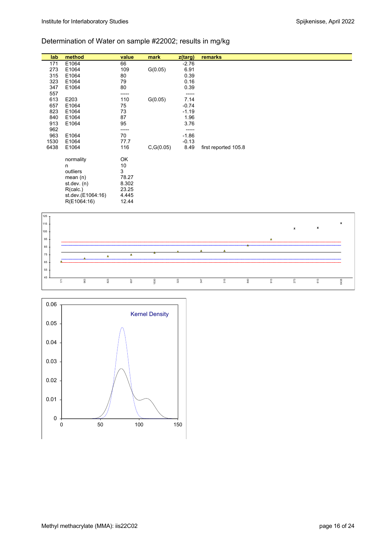# Determination of Water on sample #22002; results in mg/kg

| lab  | method            | value | mark       | z(targ) | remarks              |
|------|-------------------|-------|------------|---------|----------------------|
| 171  | E1064             | 66    |            | $-2.76$ |                      |
| 273  | E1064             | 109   | G(0.05)    | 6.91    |                      |
| 315  | E1064             | 80    |            | 0.39    |                      |
| 323  | E1064             | 79    |            | 0.16    |                      |
| 347  | E1064             | 80    |            | 0.39    |                      |
| 557  |                   |       |            |         |                      |
| 613  | E203              | 110   | G(0.05)    | 7.14    |                      |
| 657  | E1064             | 75    |            | $-0.74$ |                      |
| 823  | E1064             | 73    |            | $-1.19$ |                      |
| 840  | E1064             | 87    |            | 1.96    |                      |
| 913  | E1064             | 95    |            | 3.76    |                      |
| 962  |                   | ----- |            |         |                      |
| 963  | E1064             | 70    |            | $-1.86$ |                      |
| 1530 | E1064             | 77.7  |            | $-0.13$ |                      |
| 6438 | E1064             | 116   | C, G(0.05) | 8.49    | first reported 105.8 |
|      |                   |       |            |         |                      |
|      | normality         | OK    |            |         |                      |
|      | n                 | 10    |            |         |                      |
|      | outliers          | 3     |            |         |                      |
|      | mean $(n)$        | 78.27 |            |         |                      |
|      | st.dev. $(n)$     | 8.302 |            |         |                      |
|      | R(calc.)          | 23.25 |            |         |                      |
|      | st.dev.(E1064:16) | 4.445 |            |         |                      |
|      | R(E1064:16)       | 12.44 |            |         |                      |
|      |                   |       |            |         |                      |



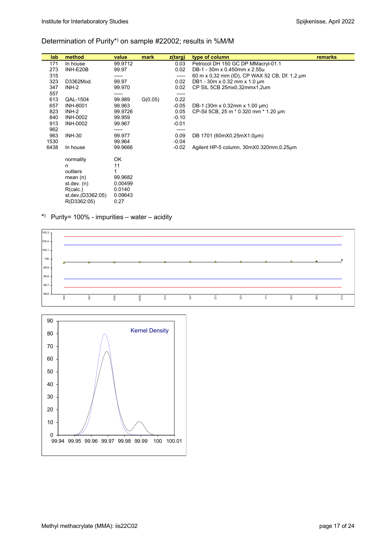#### Determination of Purity\*) on sample #22002; results in %M/M

| lab  | method            | value   | mark    | $z$ (targ) | type of column                                | remarks |
|------|-------------------|---------|---------|------------|-----------------------------------------------|---------|
| 171  | In house          | 99.9712 |         | 0.03       | Petrocol DH 150 GC DP MMacryl-01.1            |         |
| 273  | INH-E20B          | 99.97   |         | 0.02       | DB-1 - 30m x 0.450mm x 2.55u                  |         |
| 315  |                   | -----   |         | -----      | 60 m x 0,32 mm (ID), CP WAX 52 CB, Df: 1,2 µm |         |
| 323  | D3362Mod.         | 99.97   |         | 0.02       | DB1 - $30m \times 0.32$ mm $\times$ 1.0 µm    |         |
| 347  | INH-2             | 99.970  |         | 0.02       | CP SIL 5CB 25mx0,32mmx1,2um                   |         |
| 557  |                   |         |         |            |                                               |         |
| 613  | QAL-1504          | 99.989  | G(0.05) | 0.22       |                                               |         |
| 657  | <b>INH-8001</b>   | 99.963  |         | $-0.05$    | DB-1 (30m x 0.32mm x 1.00 $\mu$ m)            |         |
| 823  | INH-2             | 99.9726 |         | 0.05       | CP-Sil 5CB, 25 m * 0.320 mm * 1.20 um         |         |
| 840  | <b>INH-0002</b>   | 99.959  |         | $-0.10$    |                                               |         |
| 913  | <b>INH-0002</b>   | 99.967  |         | $-0.01$    |                                               |         |
| 962  |                   | -----   |         | -----      |                                               |         |
| 963  | <b>INH-30</b>     | 99.977  |         | 0.09       | DB 1701 (60mX0.25mX1.0µm)                     |         |
| 1530 |                   | 99.964  |         | $-0.04$    |                                               |         |
| 6438 | In house          | 99.9666 |         | $-0.02$    | Agilent HP-5 column, 30mX0.320mm, 0.25um      |         |
|      | normality         | OK      |         |            |                                               |         |
|      | n                 | 11      |         |            |                                               |         |
|      | outliers          |         |         |            |                                               |         |
|      | mean $(n)$        | 99.9682 |         |            |                                               |         |
|      | st.dev. (n)       | 0.00499 |         |            |                                               |         |
|      | R(calc.)          | 0.0140  |         |            |                                               |         |
|      | st.dev.(D3362:05) | 0.09643 |         |            |                                               |         |
|      | R(D3362:05)       | 0.27    |         |            |                                               |         |

# \*) Purity= 100% - impurities – water – acidity



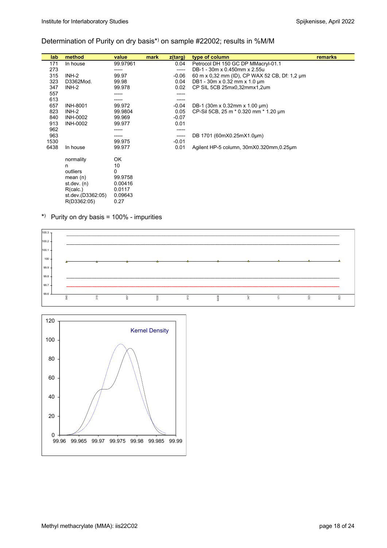### Determination of Purity on dry basis\*) on sample #22002; results in %M/M

| lab  | method            | value    | mark | z(targ) | type of column                                | remarks |
|------|-------------------|----------|------|---------|-----------------------------------------------|---------|
| 171  | In house          | 99.97961 |      | 0.04    | Petrocol DH 150 GC DP MMacryl-01.1            |         |
| 273  |                   |          |      | -----   | DB-1 - 30m x 0.450mm x 2.55u                  |         |
| 315  | INH-2             | 99.97    |      | $-0.06$ | 60 m x 0.32 mm (ID), CP WAX 52 CB, Df: 1.2 um |         |
| 323  | D3362Mod.         | 99.98    |      | 0.04    | DB1 - 30m x 0.32 mm x 1.0 um                  |         |
| 347  | INH-2             | 99.978   |      | 0.02    | CP SIL 5CB 25mx0,32mmx1,2um                   |         |
| 557  |                   | -----    |      |         |                                               |         |
| 613  |                   |          |      |         |                                               |         |
| 657  | <b>INH-8001</b>   | 99.972   |      | $-0.04$ | DB-1 (30m x 0.32mm x 1.00 $\mu$ m)            |         |
| 823  | INH-2             | 99.9804  |      | 0.05    | CP-Sil 5CB, 25 m * 0.320 mm * 1.20 um         |         |
| 840  | INH-0002          | 99.969   |      | $-0.07$ |                                               |         |
| 913  | <b>INH-0002</b>   | 99.977   |      | 0.01    |                                               |         |
| 962  |                   |          |      | -----   |                                               |         |
| 963  |                   |          |      | -----   | DB 1701 (60mX0.25mX1.0um)                     |         |
| 1530 |                   | 99.975   |      | $-0.01$ |                                               |         |
| 6438 | In house          | 99.977   |      | 0.01    | Agilent HP-5 column, 30mX0.320mm, 0.25um      |         |
|      | normality         | OK       |      |         |                                               |         |
|      | n                 | 10       |      |         |                                               |         |
|      | outliers          | 0        |      |         |                                               |         |
|      | mean $(n)$        | 99.9758  |      |         |                                               |         |
|      | st.dev. $(n)$     | 0.00416  |      |         |                                               |         |
|      | R(calc.)          | 0.0117   |      |         |                                               |         |
|      | st.dev.(D3362:05) | 0.09643  |      |         |                                               |         |
|      | R(D3362:05)       | 0.27     |      |         |                                               |         |

### \*) Purity on dry basis =  $100\%$  - impurities



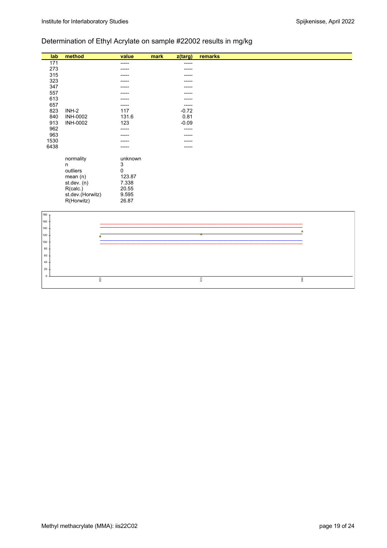# Determination of Ethyl Acrylate on sample #22002 results in mg/kg

| lab  | method           | value                     | mark | z(targ) | remarks |
|------|------------------|---------------------------|------|---------|---------|
| 171  |                  | -----                     |      | -----   |         |
| 273  |                  |                           |      |         |         |
| 315  |                  |                           |      |         |         |
| 323  |                  |                           |      |         |         |
| 347  |                  |                           |      |         |         |
| 557  |                  |                           |      |         |         |
| 613  |                  |                           |      | -----   |         |
| 657  |                  |                           |      | -----   |         |
| 823  | $INH-2$          | 117                       |      | $-0.72$ |         |
| 840  | <b>INH-0002</b>  | 131.6                     |      | 0.81    |         |
| 913  | <b>INH-0002</b>  | 123                       |      | $-0.09$ |         |
| 962  |                  |                           |      | -----   |         |
| 963  |                  |                           |      |         |         |
| 1530 |                  |                           |      |         |         |
| 6438 |                  |                           |      | -----   |         |
|      |                  |                           |      |         |         |
|      | normality        | unknown                   |      |         |         |
|      | n                | $\ensuremath{\mathsf{3}}$ |      |         |         |
|      | outliers         | 0                         |      |         |         |
|      | mean(n)          | 123.87                    |      |         |         |
|      | st.dev. (n)      | 7.338                     |      |         |         |
|      | R(calc.)         | 20.55                     |      |         |         |
|      | st.dev.(Horwitz) | 9.595                     |      |         |         |
|      | R(Horwitz)       | 26.87                     |      |         |         |
|      |                  |                           |      |         |         |
| 180  |                  |                           |      |         |         |
| 160  |                  |                           |      |         |         |
| 140  |                  |                           |      |         | ۸       |
| 120  | Δ                |                           |      |         |         |
| 100  |                  |                           |      |         |         |
| 80   |                  |                           |      |         |         |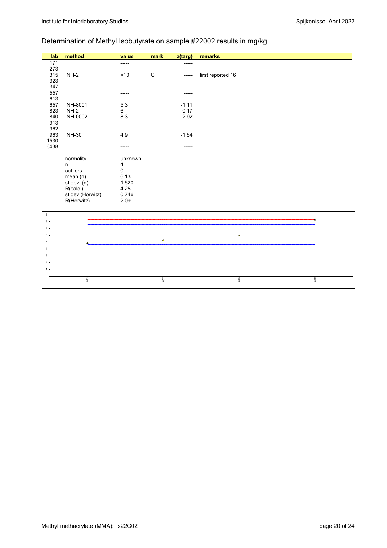$\overline{0}$ 1 2

963

840

# Determination of Methyl Isobutyrate on sample #22002 results in mg/kg

657

| lab            | method           | value   | mark        | z(targ) | remarks           |
|----------------|------------------|---------|-------------|---------|-------------------|
| 171            |                  | -----   |             |         |                   |
| 273            |                  |         |             |         |                   |
| 315            | $INH-2$          | < 10    | $\mathsf C$ |         | first reported 16 |
| 323            |                  |         |             | -----   |                   |
| 347            |                  |         |             |         |                   |
| 557            |                  |         |             |         |                   |
| 613            |                  |         |             | -----   |                   |
| 657            | <b>INH-8001</b>  | 5.3     |             | $-1.11$ |                   |
| 823            | INH-2            | 6       |             | $-0.17$ |                   |
| 840            | <b>INH-0002</b>  | 8.3     |             | 2.92    |                   |
| 913            |                  | -----   |             |         |                   |
| 962            |                  | -----   |             | $---$   |                   |
| 963            | <b>INH-30</b>    | 4.9     |             | $-1.64$ |                   |
| 1530           |                  |         |             |         |                   |
| 6438           |                  |         |             |         |                   |
|                | normality        | unknown |             |         |                   |
|                | $\mathsf{n}$     | 4       |             |         |                   |
|                | outliers         | 0       |             |         |                   |
|                | mean(n)          | 6.13    |             |         |                   |
|                | st.dev. (n)      | 1.520   |             |         |                   |
|                | R(calc.)         | 4.25    |             |         |                   |
|                | st.dev.(Horwitz) | 0.746   |             |         |                   |
|                | R(Horwitz)       | 2.09    |             |         |                   |
|                |                  |         |             |         |                   |
| 9 <sub>7</sub> |                  |         |             |         |                   |
| $8+$           |                  |         |             |         |                   |
| $\overline{7}$ |                  |         |             |         |                   |
| 6              |                  |         |             |         | т                 |
| 5              |                  |         | $\Delta$    |         |                   |
| $\overline{4}$ |                  |         |             |         |                   |
| 3              |                  |         |             |         |                   |

823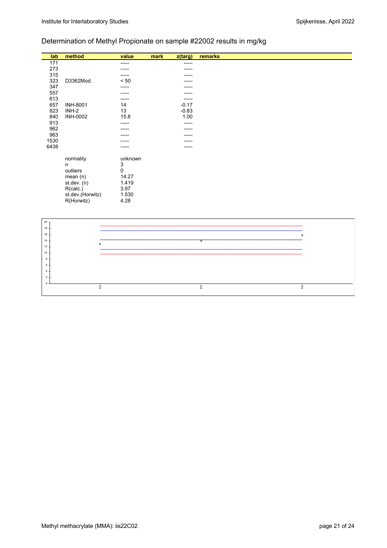# Determination of Methyl Propionate on sample #22002 results in mg/kg

| lab    | method           | value   | mark | z(targ) | remarks |
|--------|------------------|---------|------|---------|---------|
| 171    |                  | -----   |      | ------  |         |
| 273    |                  | -----   |      | -----   |         |
| 315    |                  |         |      |         |         |
| 323    | D3362Mod.        | < 50    |      |         |         |
| 347    |                  | -----   |      |         |         |
| 557    |                  |         |      |         |         |
| 613    |                  | -----   |      | -----   |         |
| 657    | <b>INH-8001</b>  | 14      |      | $-0.17$ |         |
| 823    | INH-2            | 13      |      | $-0.83$ |         |
| 840    | <b>INH-0002</b>  | 15.8    |      | 1.00    |         |
| 913    |                  | -----   |      | -----   |         |
| 962    |                  |         |      | -----   |         |
| 963    |                  |         |      | -----   |         |
| 1530   |                  |         |      |         |         |
| 6438   |                  |         |      |         |         |
|        | normality        | unknown |      |         |         |
|        | n                | 3       |      |         |         |
|        | outliers         | 0       |      |         |         |
|        | mean(n)          | 14.27   |      |         |         |
|        | st.dev. (n)      | 1.419   |      |         |         |
|        | R(calc.)         | 3.97    |      |         |         |
|        | st.dev.(Horwitz) | 1.530   |      |         |         |
|        | R(Horwitz)       | 4.28    |      |         |         |
|        |                  |         |      |         |         |
|        |                  |         |      |         |         |
| $20 -$ |                  |         |      |         |         |

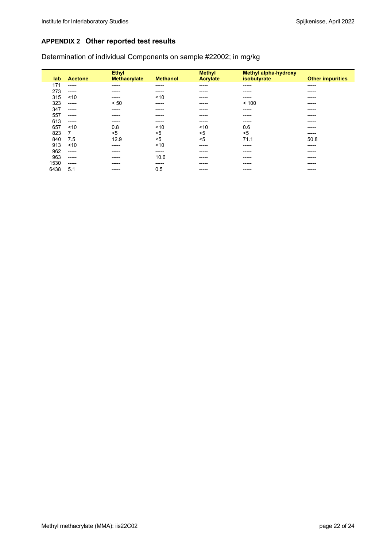# **APPENDIX 2 Other reported test results**

Determination of individual Components on sample #22002; in mg/kg

| lab  | <b>Acetone</b> | <b>Ethyl</b><br><b>Methacrylate</b> | <b>Methanol</b> | <b>Methyl</b><br><b>Acrylate</b> | <b>Methyl alpha-hydroxy</b><br>isobutyrate | <b>Other impurities</b> |
|------|----------------|-------------------------------------|-----------------|----------------------------------|--------------------------------------------|-------------------------|
| 171  | -----          | -----                               | -----           | ------                           | -----                                      | ------                  |
| 273  | -----          | -----                               | -----           | ------                           | -----                                      | -----                   |
| 315  | 10             | -----                               | 10              | -----                            | -----                                      | -----                   |
| 323  | -----          | < 50                                | -----           | ------                           | < 100                                      | -----                   |
| 347  | -----          | -----                               | -----           | ------                           | -----                                      | -----                   |
| 557  | -----          | -----                               | -----           | ------                           | -----                                      | -----                   |
| 613  | -----          | -----                               | -----           | ------                           | -----                                      | -----                   |
| 657  | ~10            | 0.8                                 | ~10             | ~10                              | 0.6                                        | -----                   |
| 823  | 7              | $5$                                 | $5$             | $5$                              | $5$                                        | -----                   |
| 840  | 7.5            | 12.9                                | $5$             | $5$                              | 71.1                                       | 50.8                    |
| 913  | 10             | -----                               | ~10             | -----                            | -----                                      | -----                   |
| 962  | -----          | -----                               | -----           | ------                           | -----                                      | -----                   |
| 963  | -----          | ------                              | 10.6            | -----                            | -----                                      | -----                   |
| 1530 | -----          | -----                               | -----           | ------                           | -----                                      | -----                   |
| 6438 | 5.1            | -----                               | 0.5             | -----                            | -----                                      | -----                   |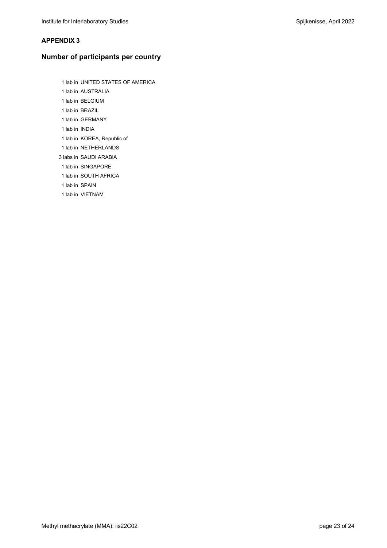### **APPENDIX 3**

# **Number of participants per country**

- 1 lab in UNITED STATES OF AMERICA 1 lab in AUSTRALIA 1 lab in BELGIUM 1 lab in BRAZIL 1 lab in GERMANY 1 lab in INDIA 1 lab in KOREA, Republic of 1 lab in NETHERLANDS 3 labs in SAUDI ARABIA 1 lab in SINGAPORE
- 1 lab in SOUTH AFRICA
- 1 lab in SPAIN
- 1 lab in VIETNAM